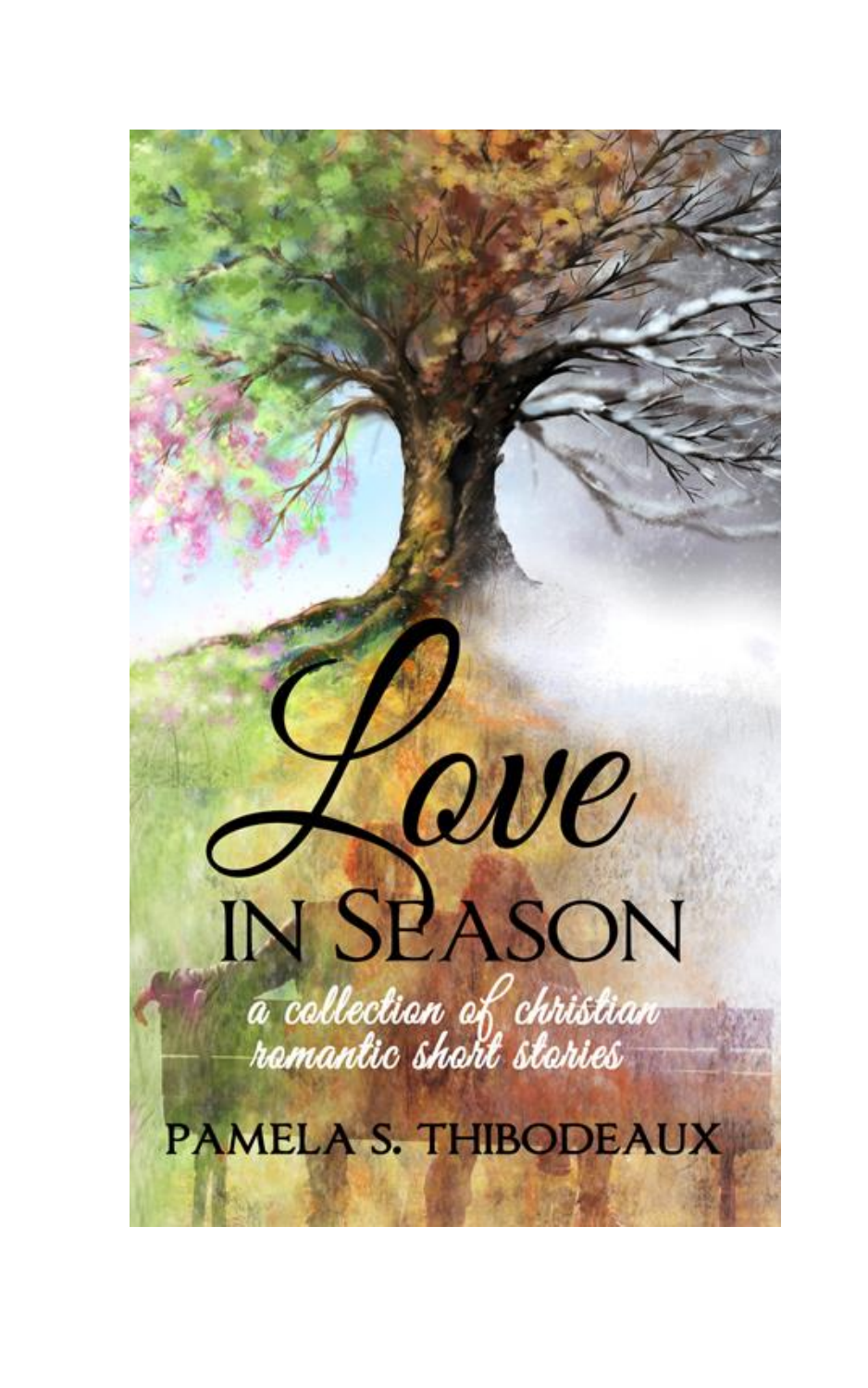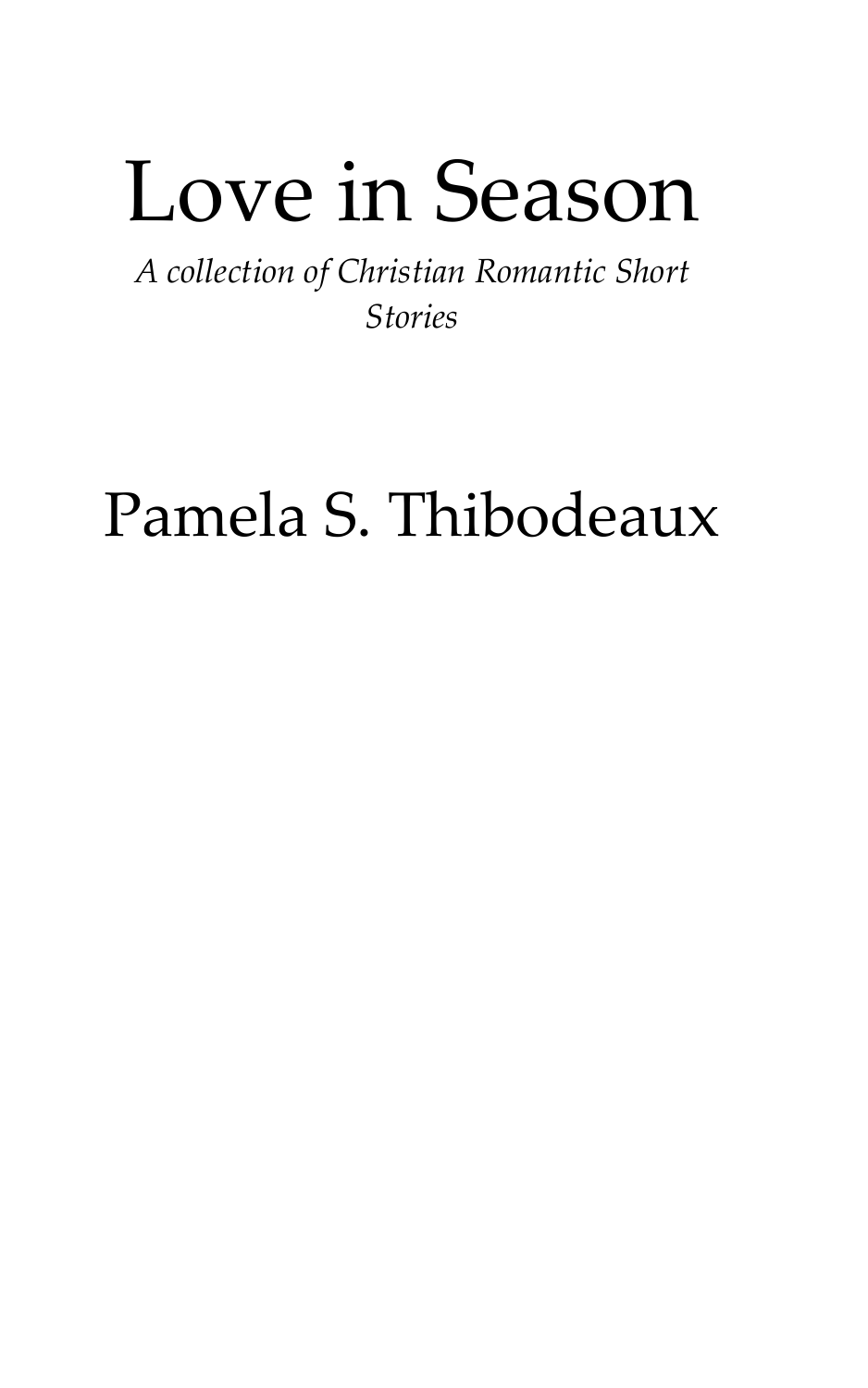# Love in Season

*A collection of Christian Romantic Short Stories*

## Pamela S. Thibodeaux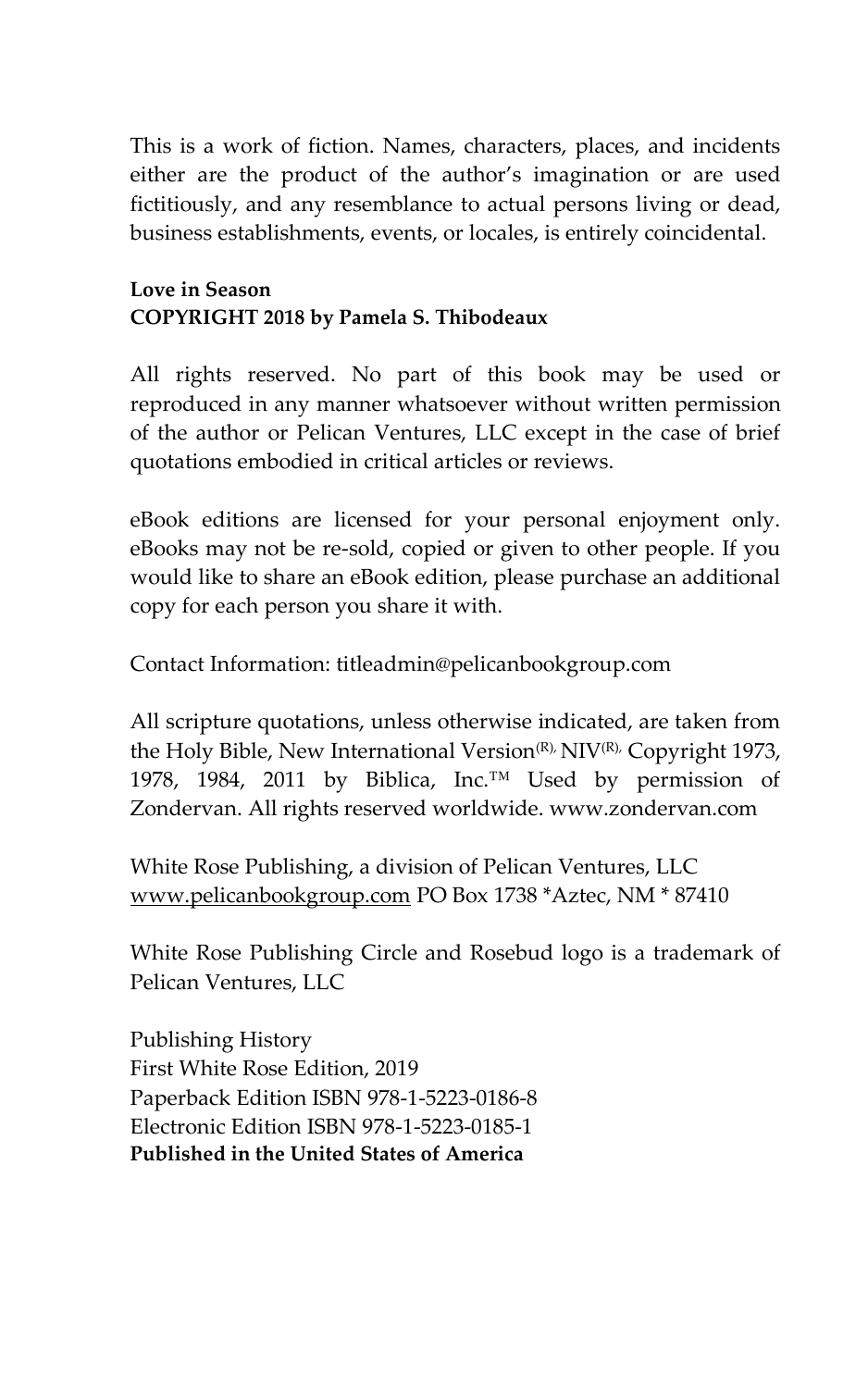This is a work of fiction. Names, characters, places, and incidents either are the product of the author's imagination or are used fictitiously, and any resemblance to actual persons living or dead, business establishments, events, or locales, is entirely coincidental.

#### **Love in Season COPYRIGHT 2018 by Pamela S. Thibodeaux**

All rights reserved. No part of this book may be used or reproduced in any manner whatsoever without written permission of the author or Pelican Ventures, LLC except in the case of brief quotations embodied in critical articles or reviews.

eBook editions are licensed for your personal enjoyment only. eBooks may not be re-sold, copied or given to other people. If you would like to share an eBook edition, please purchase an additional copy for each person you share it with.

Contact Information: titleadmin@pelicanbookgroup.com

All scripture quotations, unless otherwise indicated, are taken from the Holy Bible, New International Version<sup>(R),</sup> NIV<sup>(R),</sup> Copyright 1973, 1978, 1984, 2011 by Biblica, Inc.™ Used by permission of Zondervan. All rights reserved worldwide. www.zondervan.com

White Rose Publishing, a division of Pelican Ventures, LLC [www.pelicanbookgroup.com](http://www.pelicanbookgroup.com/) PO Box 1738 \*Aztec, NM \* 87410

White Rose Publishing Circle and Rosebud logo is a trademark of Pelican Ventures, LLC

Publishing History First White Rose Edition, 2019 Paperback Edition ISBN 978-1-5223-0186-8 Electronic Edition ISBN 978-1-5223-0185-1 **Published in the United States of America**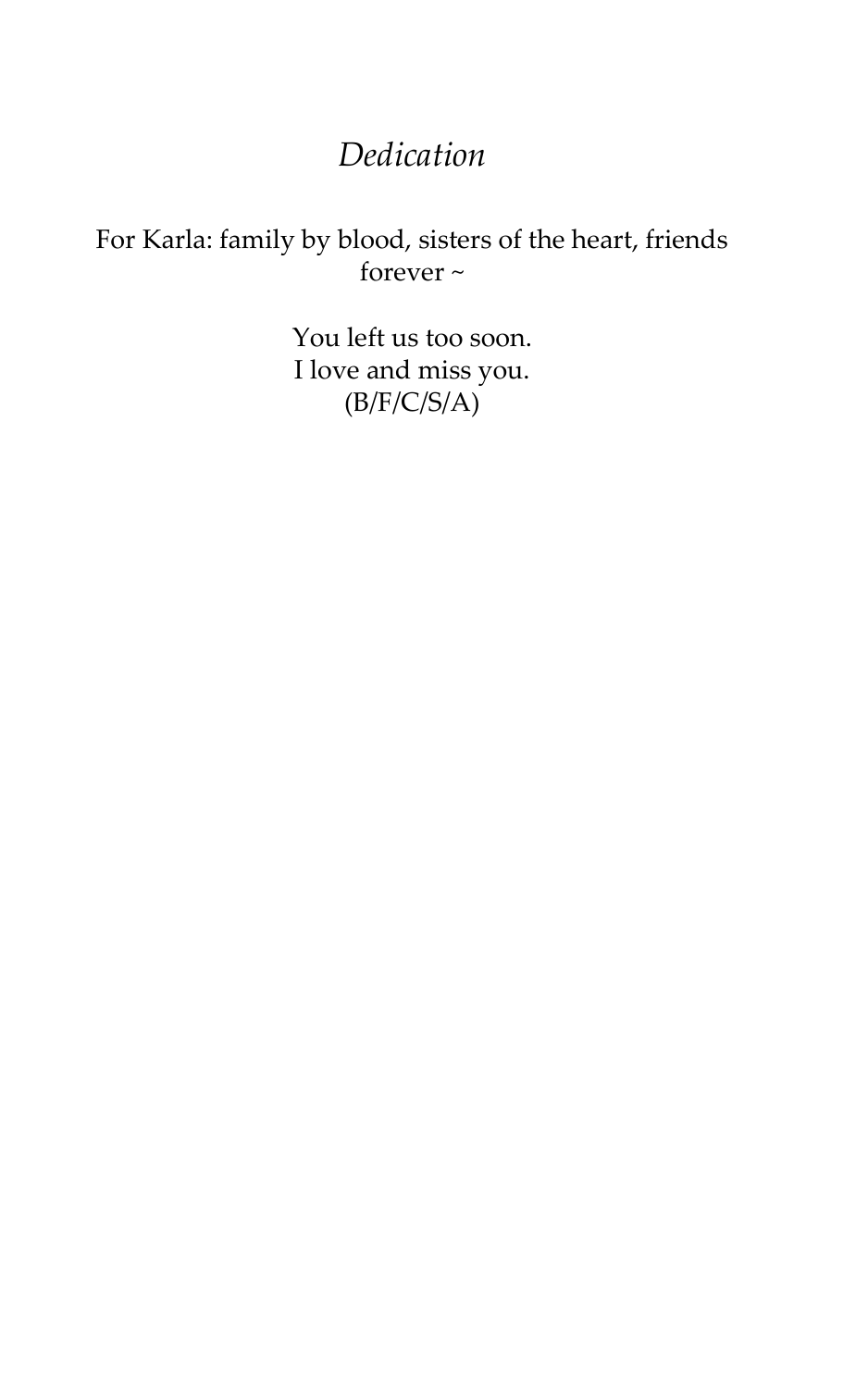### *Dedication*

#### For Karla: family by blood, sisters of the heart, friends forever ~

You left us too soon. I love and miss you.  $(B/F/C/S/A)$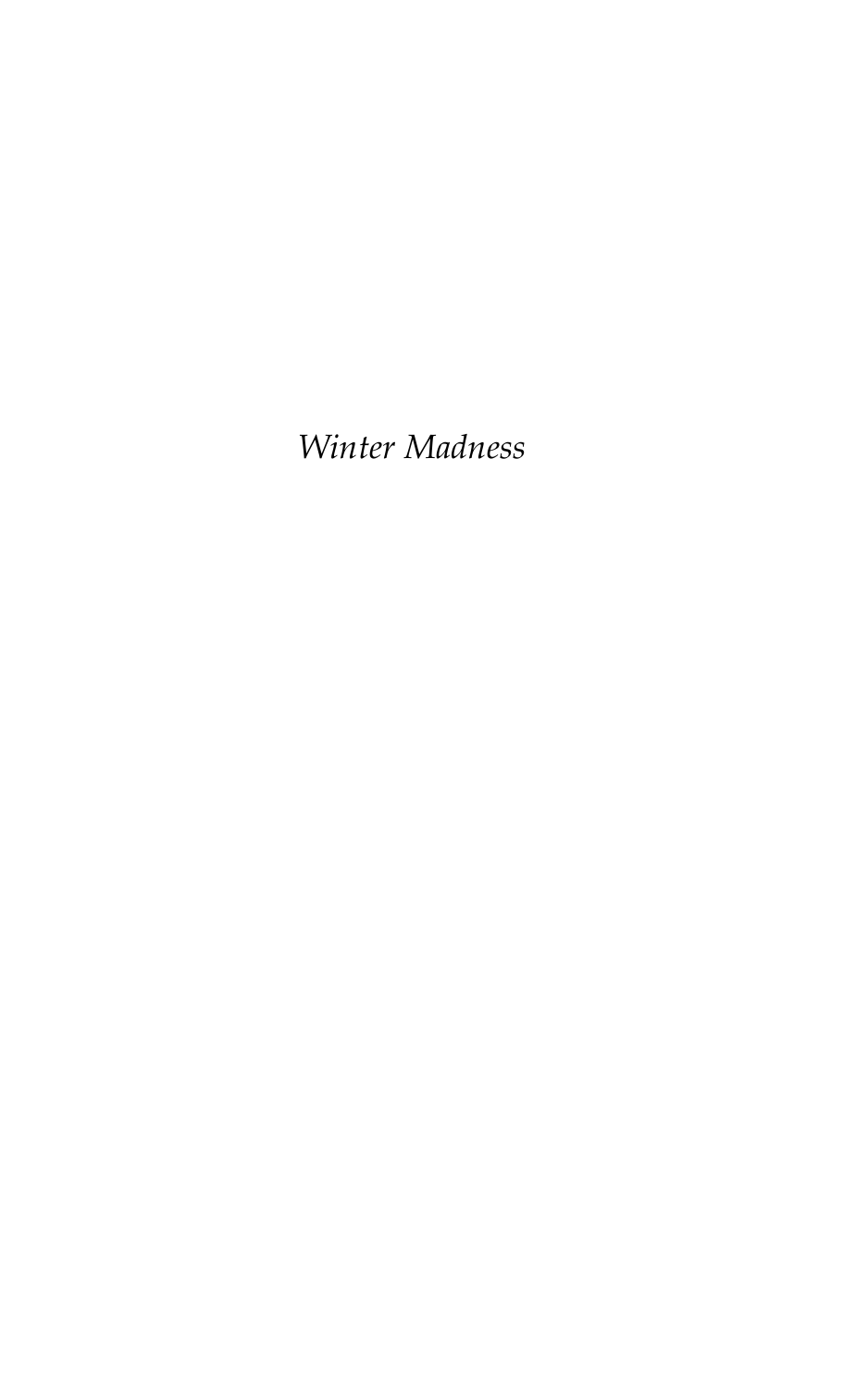*Winter Madness*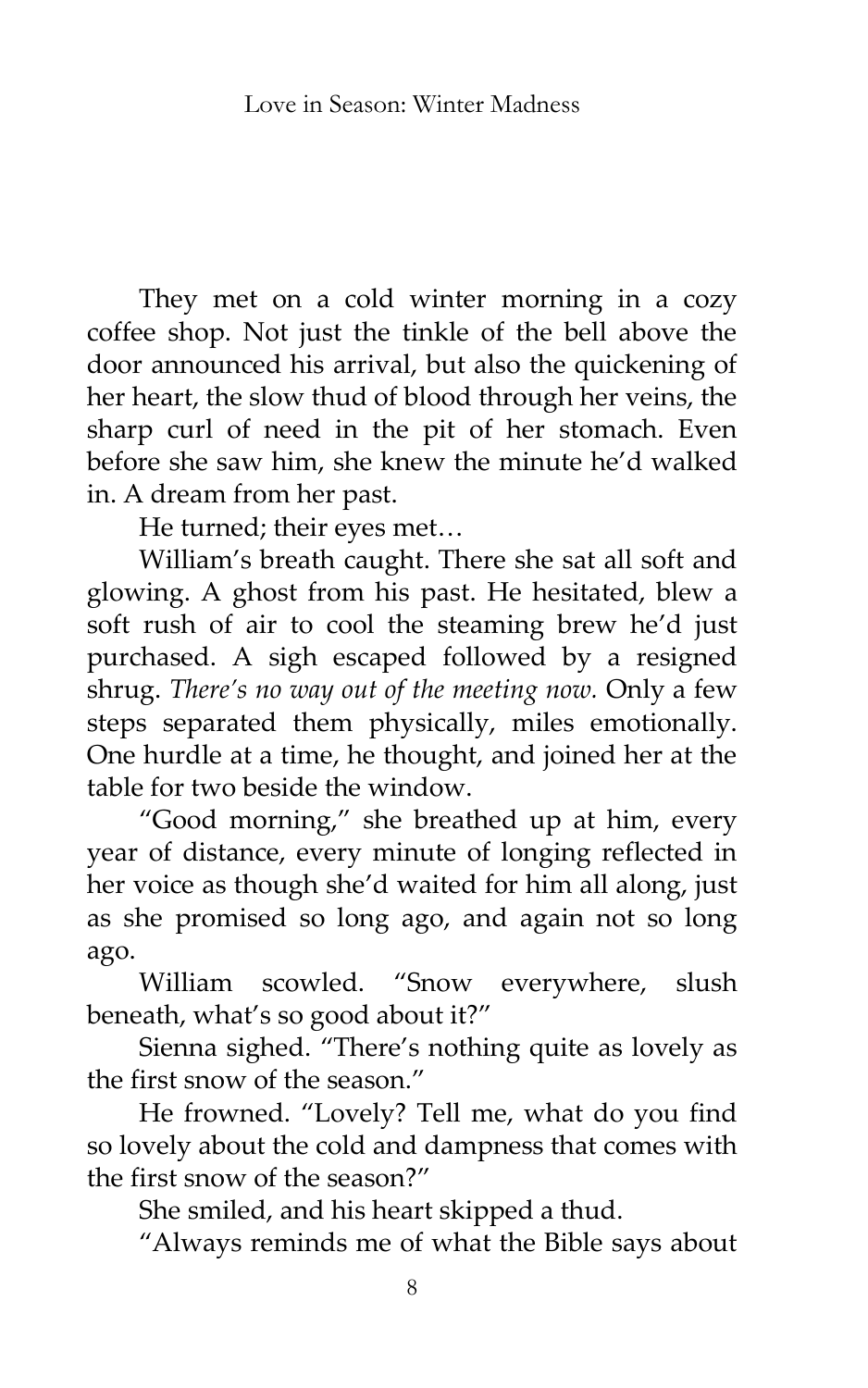They met on a cold winter morning in a cozy coffee shop. Not just the tinkle of the bell above the door announced his arrival, but also the quickening of her heart, the slow thud of blood through her veins, the sharp curl of need in the pit of her stomach. Even before she saw him, she knew the minute he'd walked in. A dream from her past.

He turned; their eyes met...

William's breath caught. There she sat all soft and glowing. A ghost from his past. He hesitated, blew a soft rush of air to cool the steaming brew he'd just purchased. A sigh escaped followed by a resigned shrug. *There's no way out of the meeting now.* Only a few steps separated them physically, miles emotionally. One hurdle at a time, he thought, and joined her at the table for two beside the window.

'Good morning,' she breathed up at him, every year of distance, every minute of longing reflected in her voice as though she'd waited for him all along, just as she promised so long ago, and again not so long ago.

William scowled. "Snow everywhere, slush beneath, what's so good about it?'

Sienna sighed. 'There's nothing quite as lovely as the first snow of the season.'

He frowned. 'Lovely? Tell me, what do you find so lovely about the cold and dampness that comes with the first snow of the season?'

She smiled, and his heart skipped a thud.

'Always reminds me of what the Bible says about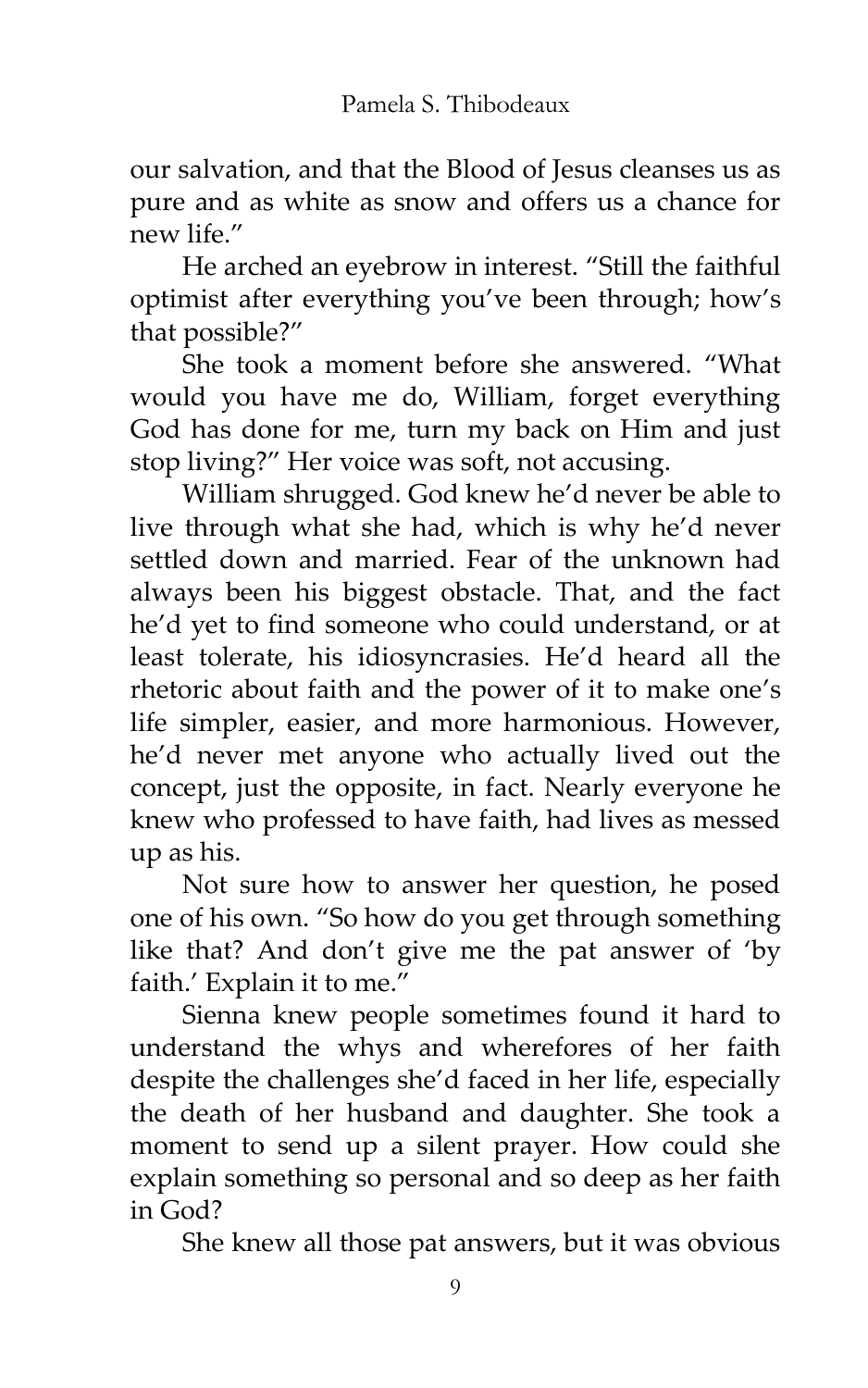our salvation, and that the Blood of Jesus cleanses us as pure and as white as snow and offers us a chance for new life."

He arched an eyebrow in interest. 'Still the faithful optimist after everything you've been through; how's that possible?'

She took a moment before she answered. 'What would you have me do, William, forget everything God has done for me, turn my back on Him and just stop living?' Her voice was soft, not accusing.

William shrugged. God knew he'd never be able to live through what she had, which is why he'd never settled down and married. Fear of the unknown had always been his biggest obstacle. That, and the fact he'd yet to find someone who could understand, or at least tolerate, his idiosyncrasies. He'd heard all the rhetoric about faith and the power of it to make one's life simpler, easier, and more harmonious. However, he'd never met anyone who actually lived out the concept, just the opposite, in fact. Nearly everyone he knew who professed to have faith, had lives as messed up as his.

Not sure how to answer her question, he posed one of his own. 'So how do you get through something like that? And don't give me the pat answer of 'by faith.' Explain it to me."

Sienna knew people sometimes found it hard to understand the whys and wherefores of her faith despite the challenges she'd faced in her life, especially the death of her husband and daughter. She took a moment to send up a silent prayer. How could she explain something so personal and so deep as her faith in God?

She knew all those pat answers, but it was obvious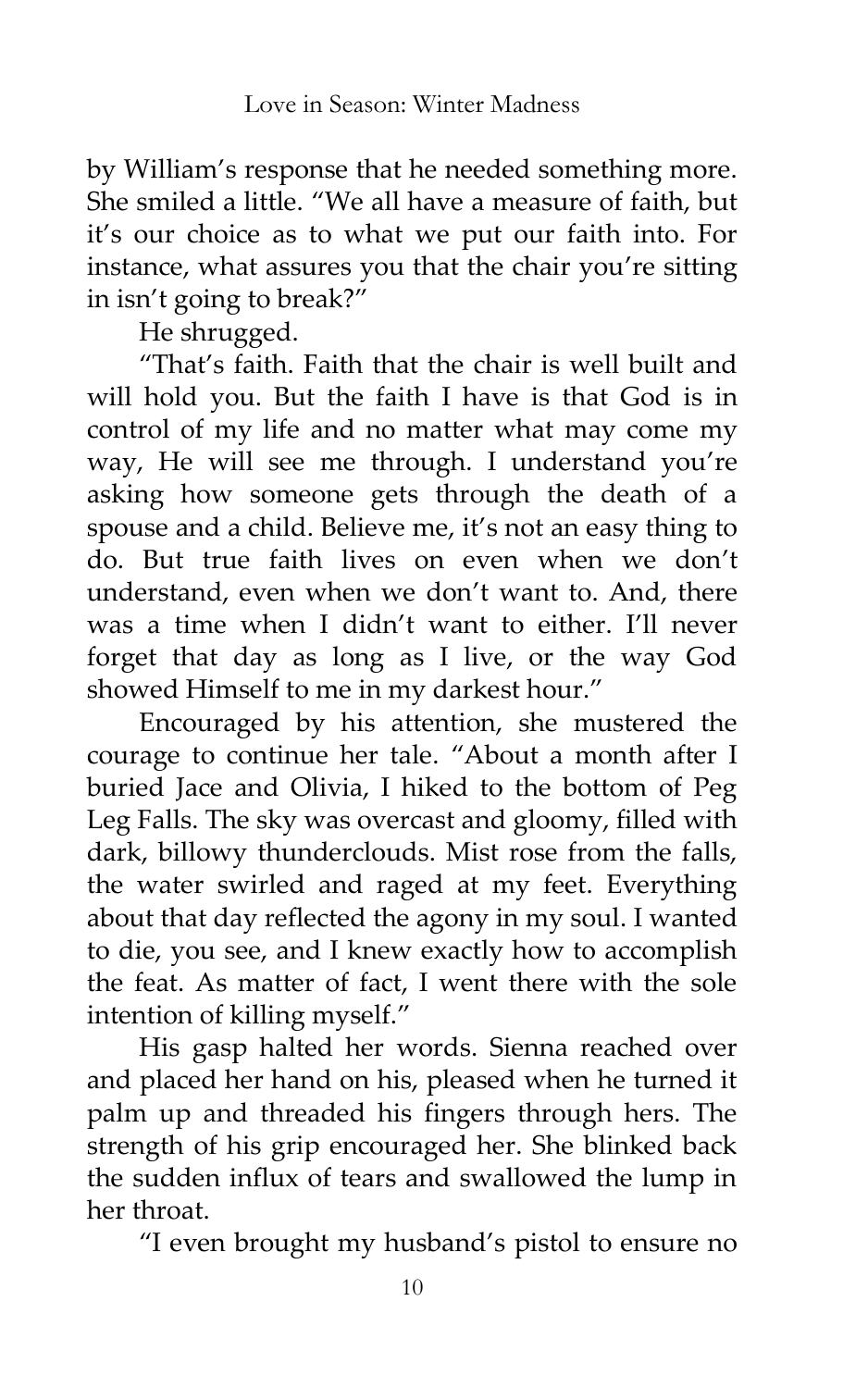by William's response that he needed something more. She smiled a little. 'We all have a measure of faith, but it's our choice as to what we put our faith into. For instance, what assures you that the chair you're sitting in isn't going to break?'

He shrugged.

'That's faith. Faith that the chair is well built and will hold you. But the faith I have is that God is in control of my life and no matter what may come my way, He will see me through. I understand you're asking how someone gets through the death of a spouse and a child. Believe me, it's not an easy thing to do. But true faith lives on even when we don't understand, even when we don't want to. And, there was a time when I didn't want to either. I'll never forget that day as long as I live, or the way God showed Himself to me in my darkest hour.'

Encouraged by his attention, she mustered the courage to continue her tale. 'About a month after I buried Jace and Olivia, I hiked to the bottom of Peg Leg Falls. The sky was overcast and gloomy, filled with dark, billowy thunderclouds. Mist rose from the falls, the water swirled and raged at my feet. Everything about that day reflected the agony in my soul. I wanted to die, you see, and I knew exactly how to accomplish the feat. As matter of fact, I went there with the sole intention of killing myself.'

His gasp halted her words. Sienna reached over and placed her hand on his, pleased when he turned it palm up and threaded his fingers through hers. The strength of his grip encouraged her. She blinked back the sudden influx of tears and swallowed the lump in her throat.

'I even brought my husband's pistol to ensure no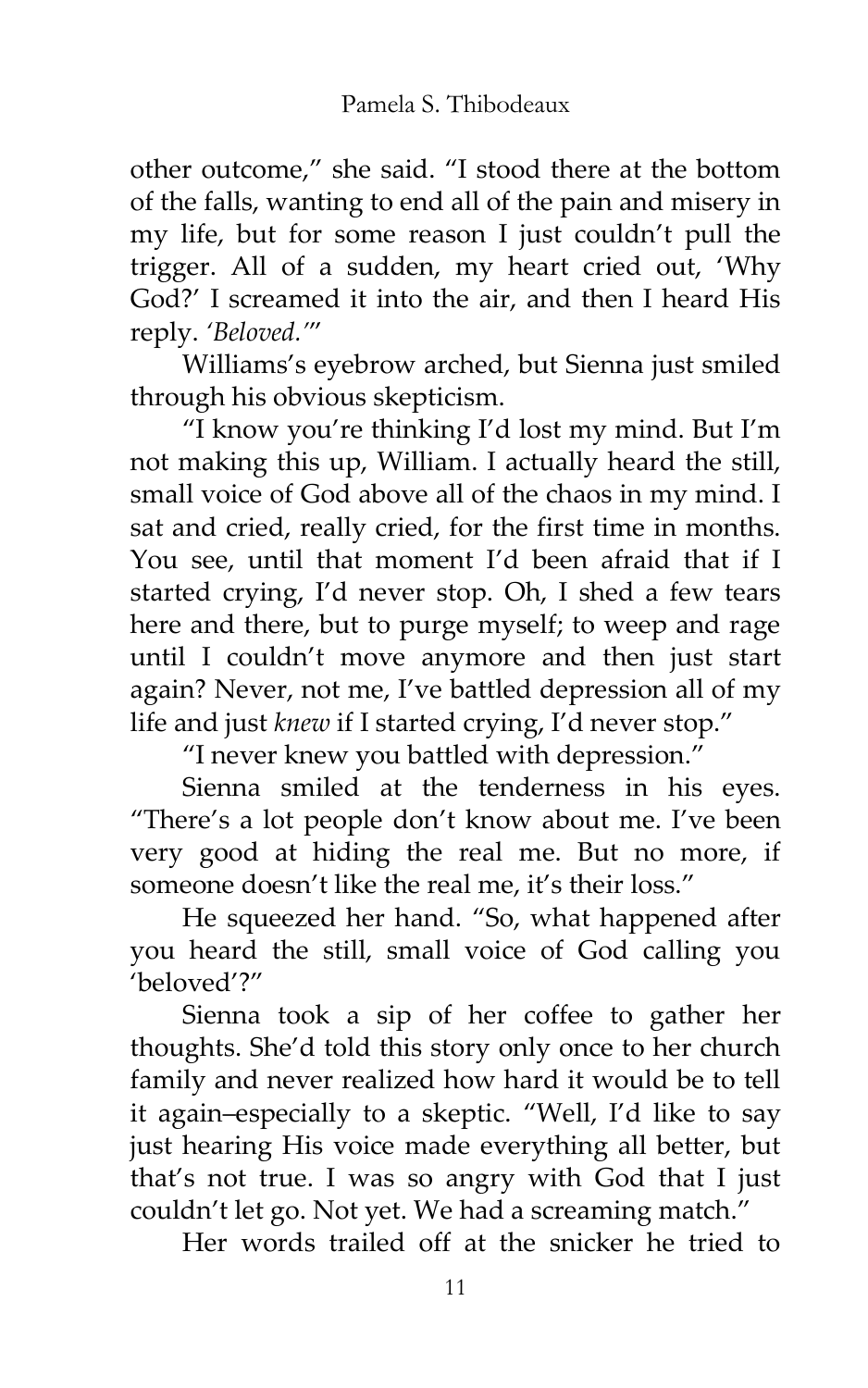other outcome,' she said. 'I stood there at the bottom of the falls, wanting to end all of the pain and misery in my life, but for some reason I just couldn't pull the trigger. All of a sudden, my heart cried out, 'Why God?' I screamed it into the air, and then I heard His reply. *'Beloved.'*'

Williams's eyebrow arched, but Sienna just smiled through his obvious skepticism.

'I know you're thinking I'd lost my mind. But I'm not making this up, William. I actually heard the still, small voice of God above all of the chaos in my mind. I sat and cried, really cried, for the first time in months. You see, until that moment I'd been afraid that if I started crying, I'd never stop. Oh, I shed a few tears here and there, but to purge myself; to weep and rage until I couldn't move anymore and then just start again? Never, not me, I've battled depression all of my life and just *knew* if I started crying, I'd never stop.'

'I never knew you battled with depression.'

Sienna smiled at the tenderness in his eyes. 'There's a lot people don't know about me. I've been very good at hiding the real me. But no more, if someone doesn't like the real me, it's their loss."

He squeezed her hand. "So, what happened after you heard the still, small voice of God calling you 'beloved'?'

Sienna took a sip of her coffee to gather her thoughts. She'd told this story only once to her church family and never realized how hard it would be to tell it again–especially to a skeptic. 'Well, I'd like to say just hearing His voice made everything all better, but that's not true. I was so angry with God that I just couldn't let go. Not yet. We had a screaming match.'

Her words trailed off at the snicker he tried to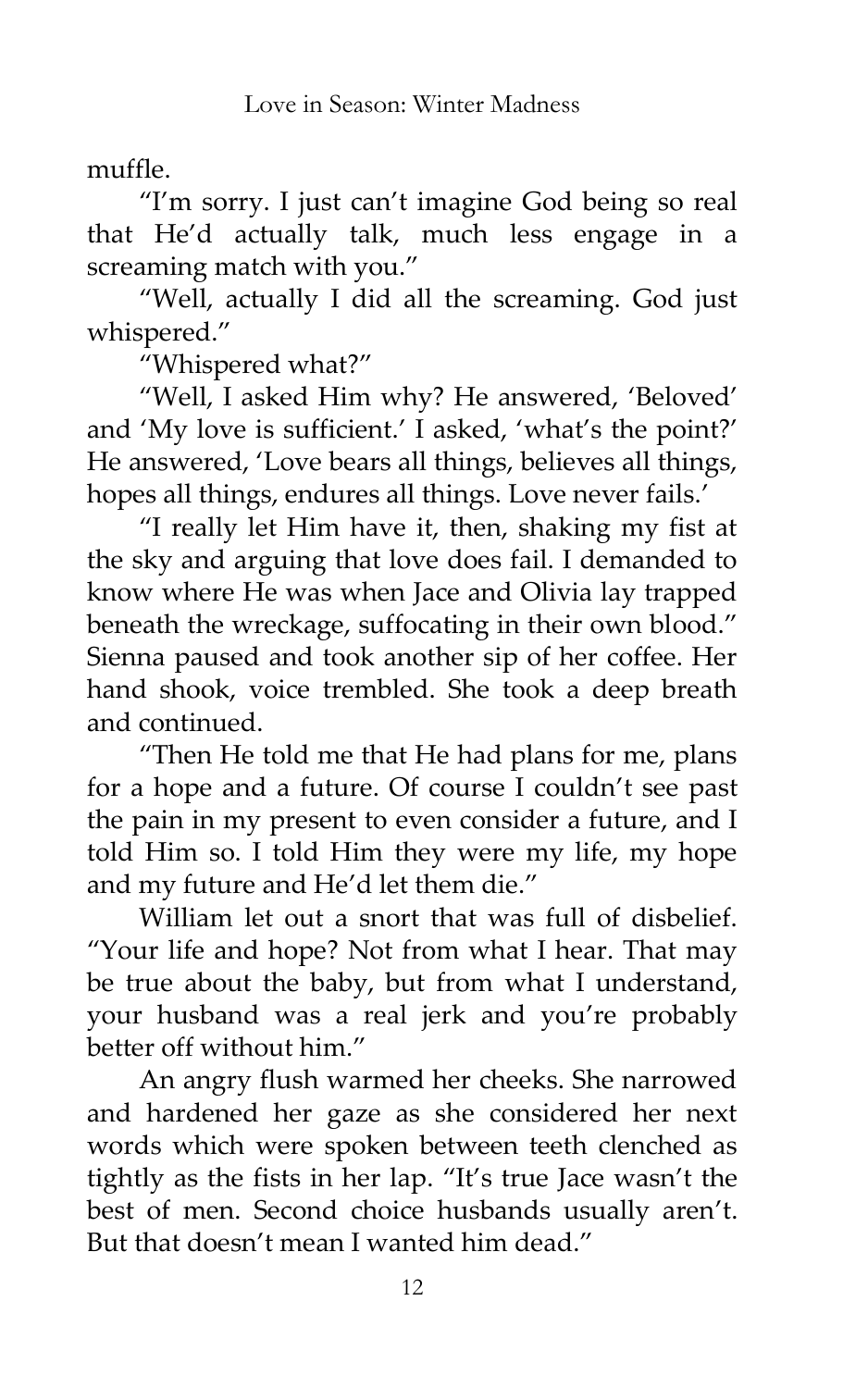muffle.

'I'm sorry. I just can't imagine God being so real that He'd actually talk, much less engage in a screaming match with you.'

'Well, actually I did all the screaming. God just whispered.'

'Whispered what?'

'Well, I asked Him why? He answered, 'Beloved' and 'My love is sufficient.' I asked, 'what's the point?' He answered, 'Love bears all things, believes all things, hopes all things, endures all things. Love never fails.'

'I really let Him have it, then, shaking my fist at the sky and arguing that love does fail. I demanded to know where He was when Jace and Olivia lay trapped beneath the wreckage, suffocating in their own blood.' Sienna paused and took another sip of her coffee. Her hand shook, voice trembled. She took a deep breath and continued.

'Then He told me that He had plans for me, plans for a hope and a future. Of course I couldn't see past the pain in my present to even consider a future, and I told Him so. I told Him they were my life, my hope and my future and He'd let them die.'

William let out a snort that was full of disbelief. 'Your life and hope? Not from what I hear. That may be true about the baby, but from what I understand, your husband was a real jerk and you're probably better off without him.'

An angry flush warmed her cheeks. She narrowed and hardened her gaze as she considered her next words which were spoken between teeth clenched as tightly as the fists in her lap. 'It's true Jace wasn't the best of men. Second choice husbands usually aren't. But that doesn't mean I wanted him dead.'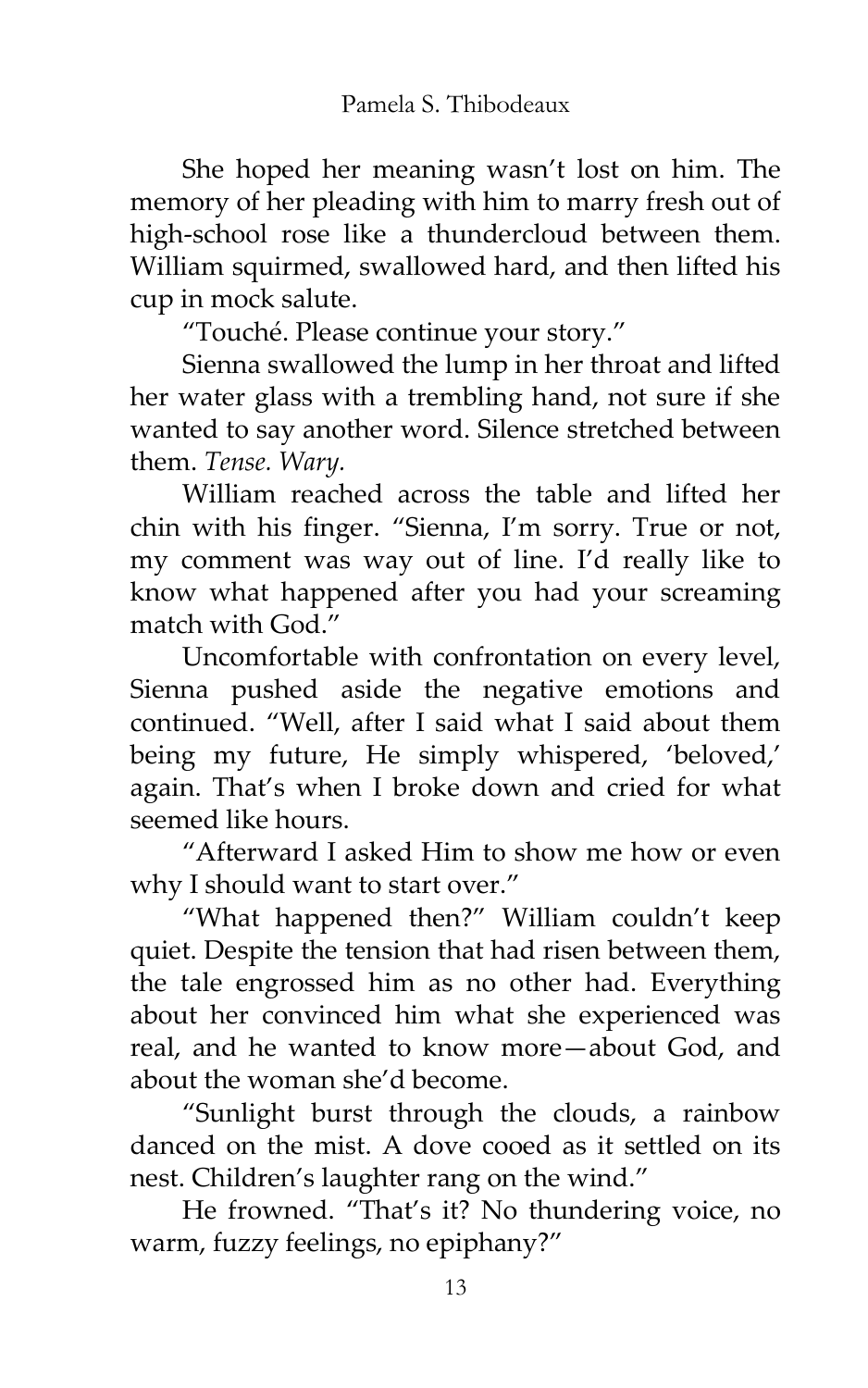She hoped her meaning wasn't lost on him. The memory of her pleading with him to marry fresh out of high-school rose like a thundercloud between them. William squirmed, swallowed hard, and then lifted his cup in mock salute.

'Touché. Please continue your story.'

Sienna swallowed the lump in her throat and lifted her water glass with a trembling hand, not sure if she wanted to say another word. Silence stretched between them. *Tense. Wary.*

William reached across the table and lifted her chin with his finger. 'Sienna, I'm sorry. True or not, my comment was way out of line. I'd really like to know what happened after you had your screaming match with God<sup>"</sup>

Uncomfortable with confrontation on every level, Sienna pushed aside the negative emotions and continued. 'Well, after I said what I said about them being my future, He simply whispered, 'beloved,' again. That's when I broke down and cried for what seemed like hours.

'Afterward I asked Him to show me how or even why I should want to start over."

'What happened then?' William couldn't keep quiet. Despite the tension that had risen between them, the tale engrossed him as no other had. Everything about her convinced him what she experienced was real, and he wanted to know more—about God, and about the woman she'd become.

'Sunlight burst through the clouds, a rainbow danced on the mist. A dove cooed as it settled on its nest. Children's laughter rang on the wind.'

He frowned. 'That's it? No thundering voice, no warm, fuzzy feelings, no epiphany?'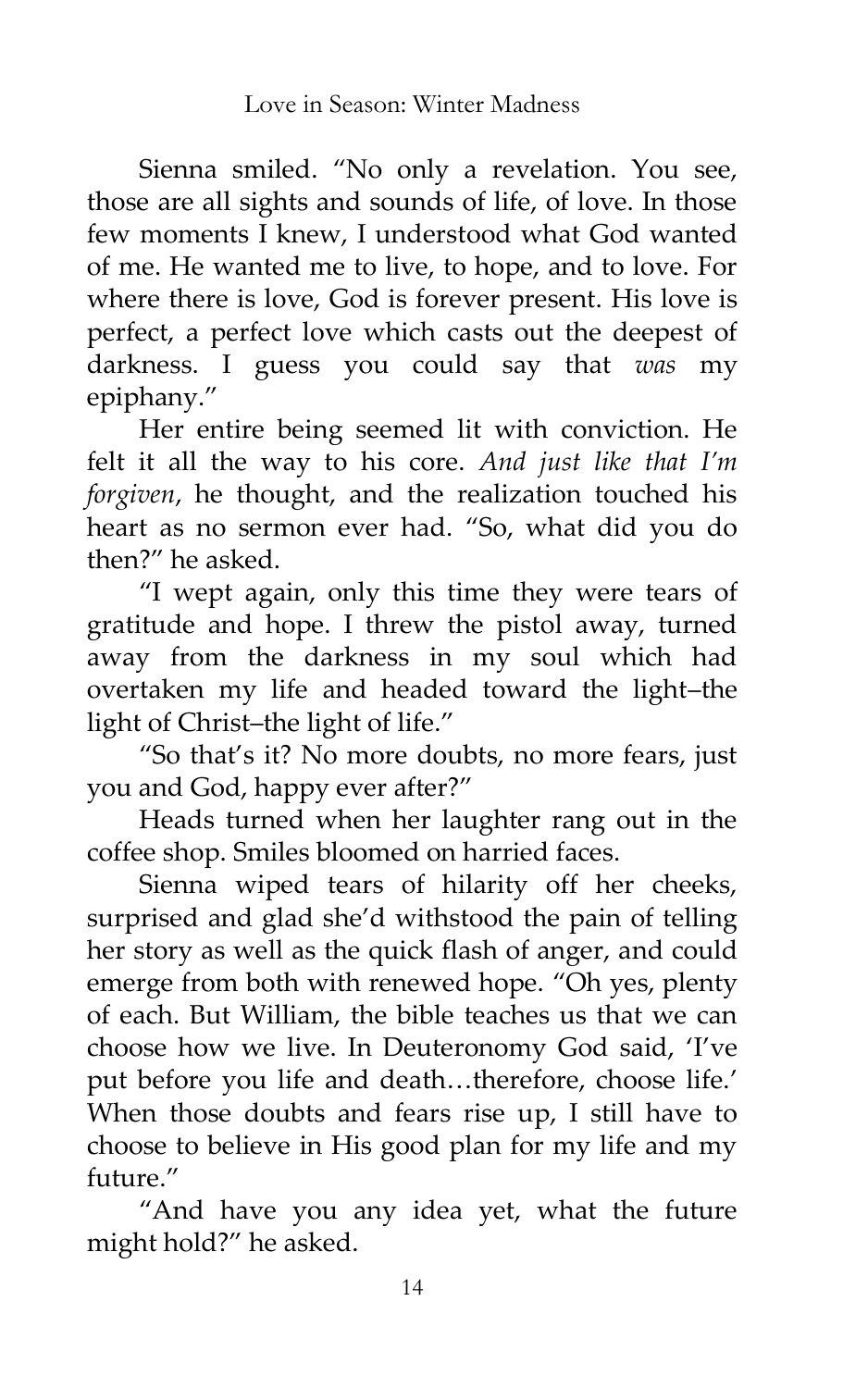Sienna smiled. 'No only a revelation. You see, those are all sights and sounds of life, of love. In those few moments I knew, I understood what God wanted of me. He wanted me to live, to hope, and to love. For where there is love, God is forever present. His love is perfect, a perfect love which casts out the deepest of darkness. I guess you could say that *was* my epiphany.'

Her entire being seemed lit with conviction. He felt it all the way to his core. *And just like that I'm forgiven*, he thought, and the realization touched his heart as no sermon ever had. "So, what did you do then?' he asked.

'I wept again, only this time they were tears of gratitude and hope. I threw the pistol away, turned away from the darkness in my soul which had overtaken my life and headed toward the light–the light of Christ–the light of life.'

'So that's it? No more doubts, no more fears, just you and God, happy ever after?'

Heads turned when her laughter rang out in the coffee shop. Smiles bloomed on harried faces.

Sienna wiped tears of hilarity off her cheeks, surprised and glad she'd withstood the pain of telling her story as well as the quick flash of anger, and could emerge from both with renewed hope. 'Oh yes, plenty of each. But William, the bible teaches us that we can choose how we live. In Deuteronomy God said, 'I've put before you life and death...therefore, choose life.' When those doubts and fears rise up, I still have to choose to believe in His good plan for my life and my future.'

'And have you any idea yet, what the future might hold?' he asked.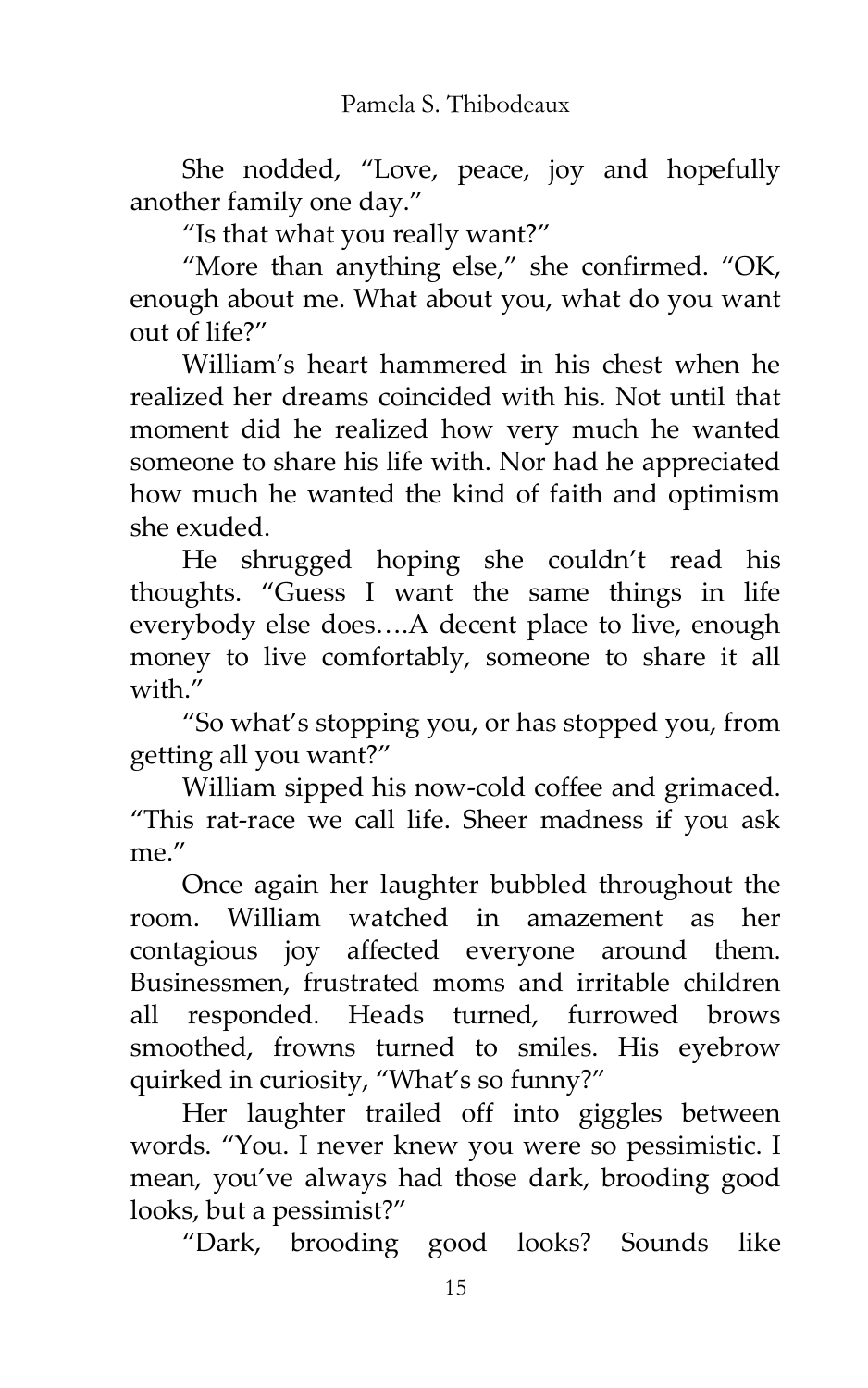She nodded, 'Love, peace, joy and hopefully another family one day.'

'Is that what you really want?'

'More than anything else,' she confirmed. 'OK, enough about me. What about you, what do you want out of life?'

William's heart hammered in his chest when he realized her dreams coincided with his. Not until that moment did he realized how very much he wanted someone to share his life with. Nor had he appreciated how much he wanted the kind of faith and optimism she exuded.

He shrugged hoping she couldn't read his thoughts. 'Guess I want the same things in life everybody else does....A decent place to live, enough money to live comfortably, someone to share it all with"

'So what's stopping you, or has stopped you, from getting all you want?'

William sipped his now-cold coffee and grimaced. 'This rat-race we call life. Sheer madness if you ask me.'

Once again her laughter bubbled throughout the room. William watched in amazement as her contagious joy affected everyone around them. Businessmen, frustrated moms and irritable children all responded. Heads turned, furrowed brows smoothed, frowns turned to smiles. His eyebrow quirked in curiosity, "What's so funny?"

Her laughter trailed off into giggles between words. 'You. I never knew you were so pessimistic. I mean, you've always had those dark, brooding good looks, but a pessimist?'

'Dark, brooding good looks? Sounds like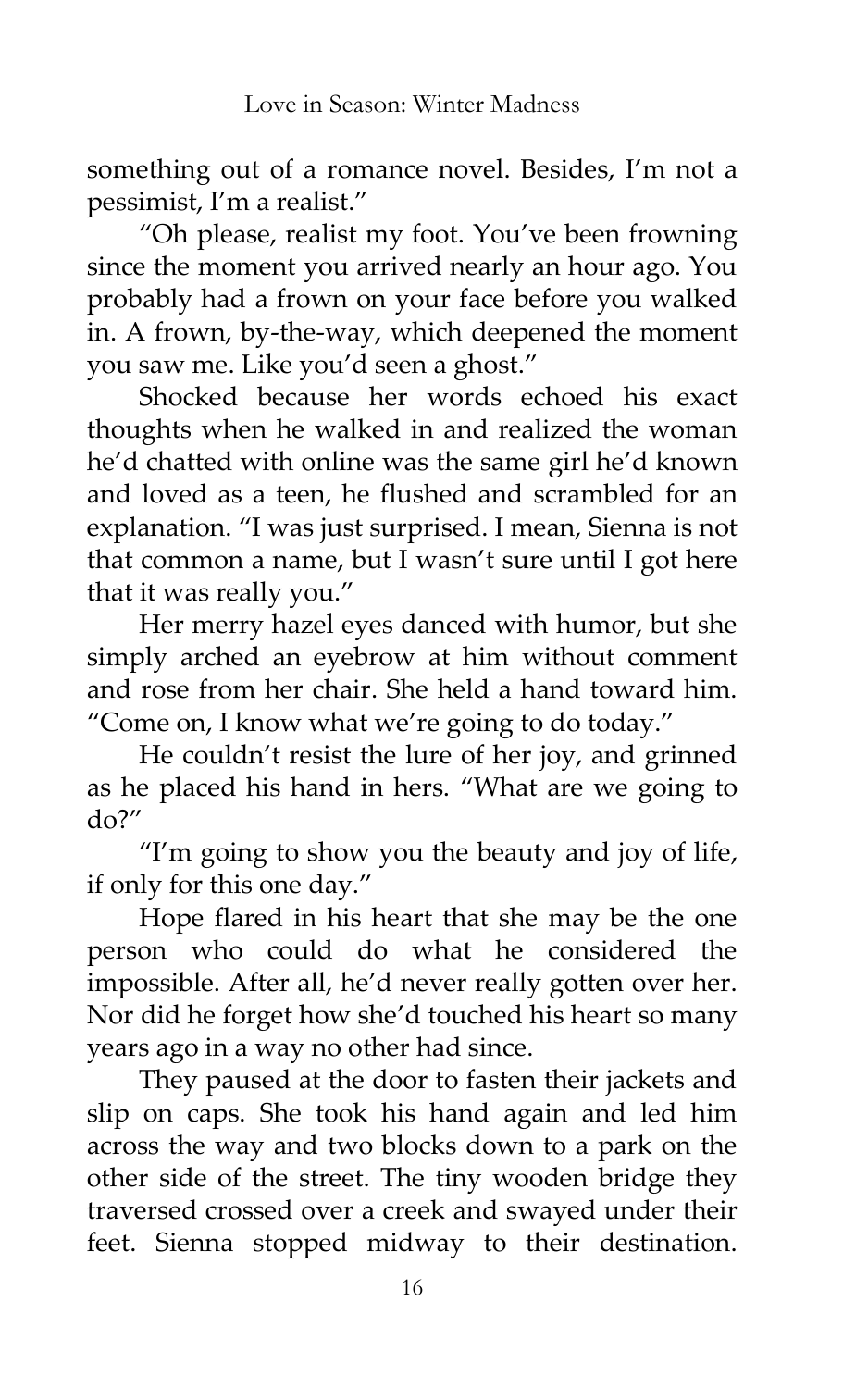something out of a romance novel. Besides, I'm not a pessimist, I'm a realist.'

'Oh please, realist my foot. You've been frowning since the moment you arrived nearly an hour ago. You probably had a frown on your face before you walked in. A frown, by-the-way, which deepened the moment you saw me. Like you'd seen a ghost.'

Shocked because her words echoed his exact thoughts when he walked in and realized the woman he'd chatted with online was the same girl he'd known and loved as a teen, he flushed and scrambled for an explanation. 'I was just surprised. I mean, Sienna is not that common a name, but I wasn't sure until I got here that it was really you.'

Her merry hazel eyes danced with humor, but she simply arched an eyebrow at him without comment and rose from her chair. She held a hand toward him. 'Come on, I know what we're going to do today.'

He couldn't resist the lure of her joy, and grinned as he placed his hand in hers. 'What are we going to  $d\rho$ ?"

'I'm going to show you the beauty and joy of life, if only for this one day.'

Hope flared in his heart that she may be the one person who could do what he considered the impossible. After all, he'd never really gotten over her. Nor did he forget how she'd touched his heart so many years ago in a way no other had since.

They paused at the door to fasten their jackets and slip on caps. She took his hand again and led him across the way and two blocks down to a park on the other side of the street. The tiny wooden bridge they traversed crossed over a creek and swayed under their feet. Sienna stopped midway to their destination.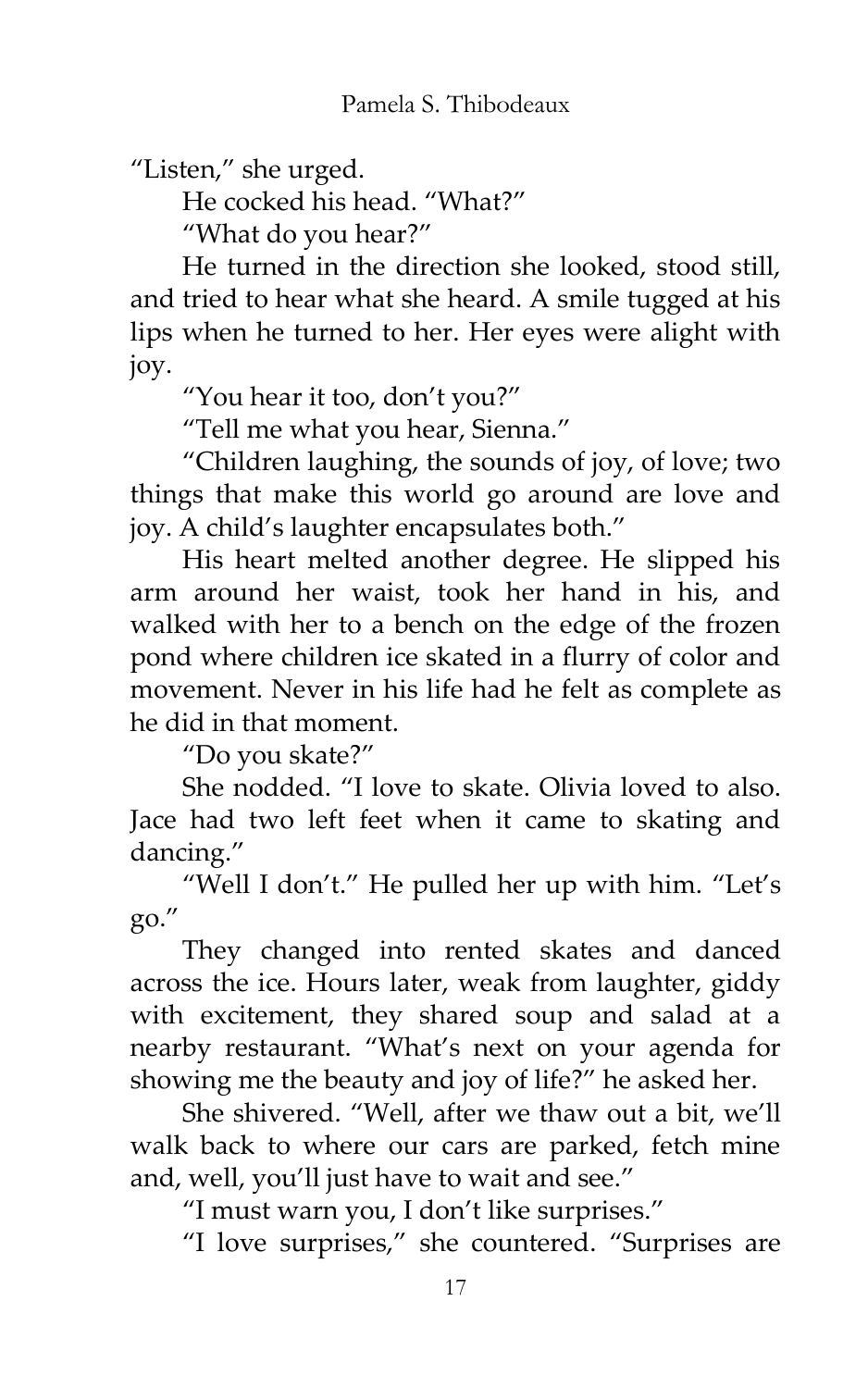"Listen," she urged.

He cocked his head. "What?"

'What do you hear?'

He turned in the direction she looked, stood still, and tried to hear what she heard. A smile tugged at his lips when he turned to her. Her eyes were alight with joy.

'You hear it too, don't you?'

'Tell me what you hear, Sienna.'

'Children laughing, the sounds of joy, of love; two things that make this world go around are love and joy. A child's laughter encapsulates both.'

His heart melted another degree. He slipped his arm around her waist, took her hand in his, and walked with her to a bench on the edge of the frozen pond where children ice skated in a flurry of color and movement. Never in his life had he felt as complete as he did in that moment.

'Do you skate?'

She nodded. 'I love to skate. Olivia loved to also. Jace had two left feet when it came to skating and dancing.'

'Well I don't.' He pulled her up with him. 'Let's go.'

They changed into rented skates and danced across the ice. Hours later, weak from laughter, giddy with excitement, they shared soup and salad at a nearby restaurant. 'What's next on your agenda for showing me the beauty and joy of life?' he asked her.

She shivered. 'Well, after we thaw out a bit, we'll walk back to where our cars are parked, fetch mine and, well, you'll just have to wait and see.'

'I must warn you, I don't like surprises.'

'I love surprises,' she countered. 'Surprises are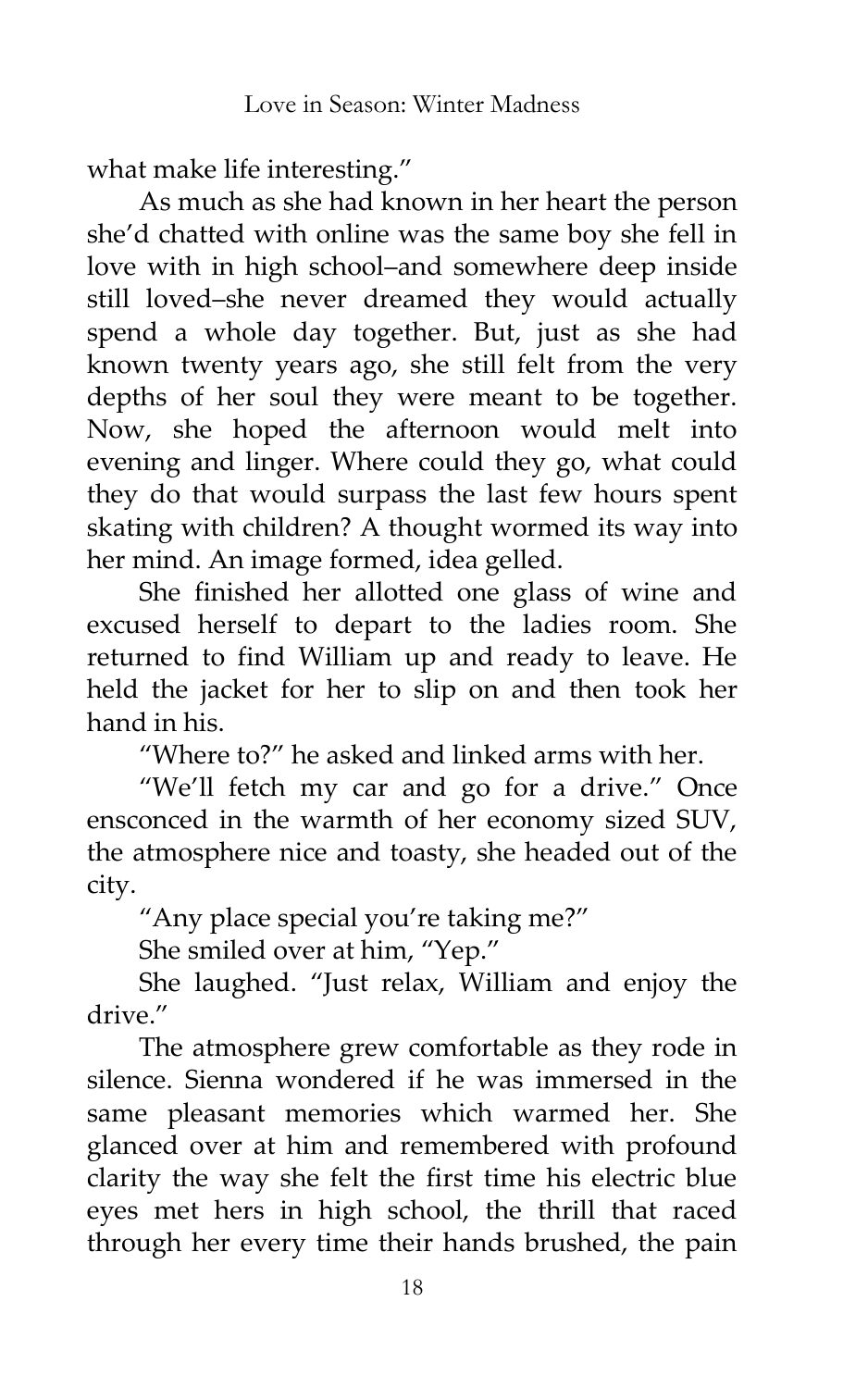what make life interesting.'

As much as she had known in her heart the person she'd chatted with online was the same boy she fell in love with in high school–and somewhere deep inside still loved–she never dreamed they would actually spend a whole day together. But, just as she had known twenty years ago, she still felt from the very depths of her soul they were meant to be together. Now, she hoped the afternoon would melt into evening and linger. Where could they go, what could they do that would surpass the last few hours spent skating with children? A thought wormed its way into her mind. An image formed, idea gelled.

She finished her allotted one glass of wine and excused herself to depart to the ladies room. She returned to find William up and ready to leave. He held the jacket for her to slip on and then took her hand in his.

'Where to?' he asked and linked arms with her.

'We'll fetch my car and go for a drive.' Once ensconced in the warmth of her economy sized SUV, the atmosphere nice and toasty, she headed out of the city.

'Any place special you're taking me?'

She smiled over at him, "Yep."

She laughed. 'Just relax, William and enjoy the drive.'

The atmosphere grew comfortable as they rode in silence. Sienna wondered if he was immersed in the same pleasant memories which warmed her. She glanced over at him and remembered with profound clarity the way she felt the first time his electric blue eyes met hers in high school, the thrill that raced through her every time their hands brushed, the pain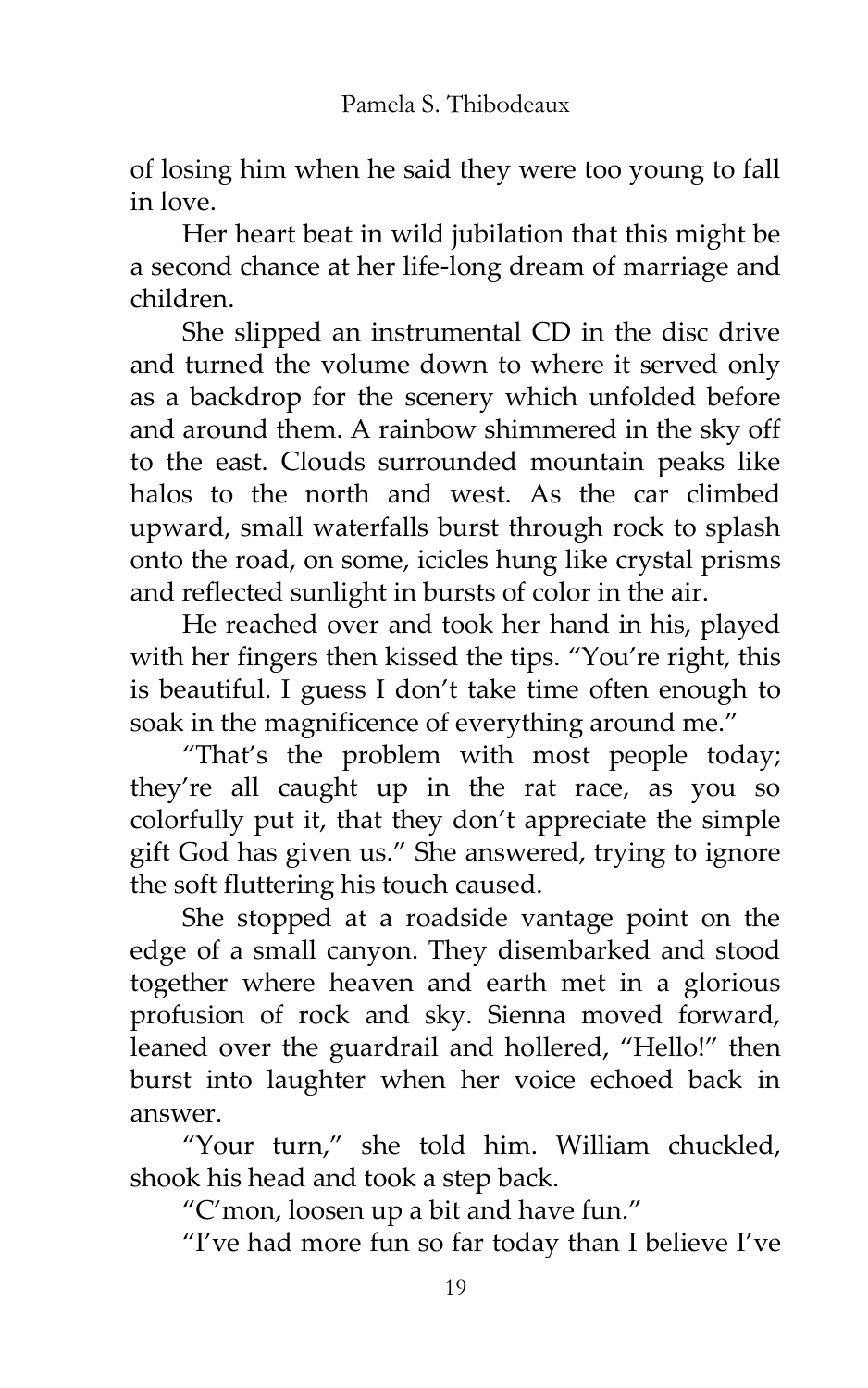of losing him when he said they were too young to fall in love.

Her heart beat in wild jubilation that this might be a second chance at her life-long dream of marriage and children.

She slipped an instrumental CD in the disc drive and turned the volume down to where it served only as a backdrop for the scenery which unfolded before and around them. A rainbow shimmered in the sky off to the east. Clouds surrounded mountain peaks like halos to the north and west. As the car climbed upward, small waterfalls burst through rock to splash onto the road, on some, icicles hung like crystal prisms and reflected sunlight in bursts of color in the air.

He reached over and took her hand in his, played with her fingers then kissed the tips. "You're right, this is beautiful. I guess I don't take time often enough to soak in the magnificence of everything around me."

'That's the problem with most people today; they're all caught up in the rat race, as you so colorfully put it, that they don't appreciate the simple gift God has given us.' She answered, trying to ignore the soft fluttering his touch caused.

She stopped at a roadside vantage point on the edge of a small canyon. They disembarked and stood together where heaven and earth met in a glorious profusion of rock and sky. Sienna moved forward, leaned over the guardrail and hollered, "Hello!" then burst into laughter when her voice echoed back in answer.

'Your turn,' she told him. William chuckled, shook his head and took a step back.

'C'mon, loosen up a bit and have fun.'

'I've had more fun so far today than I believe I've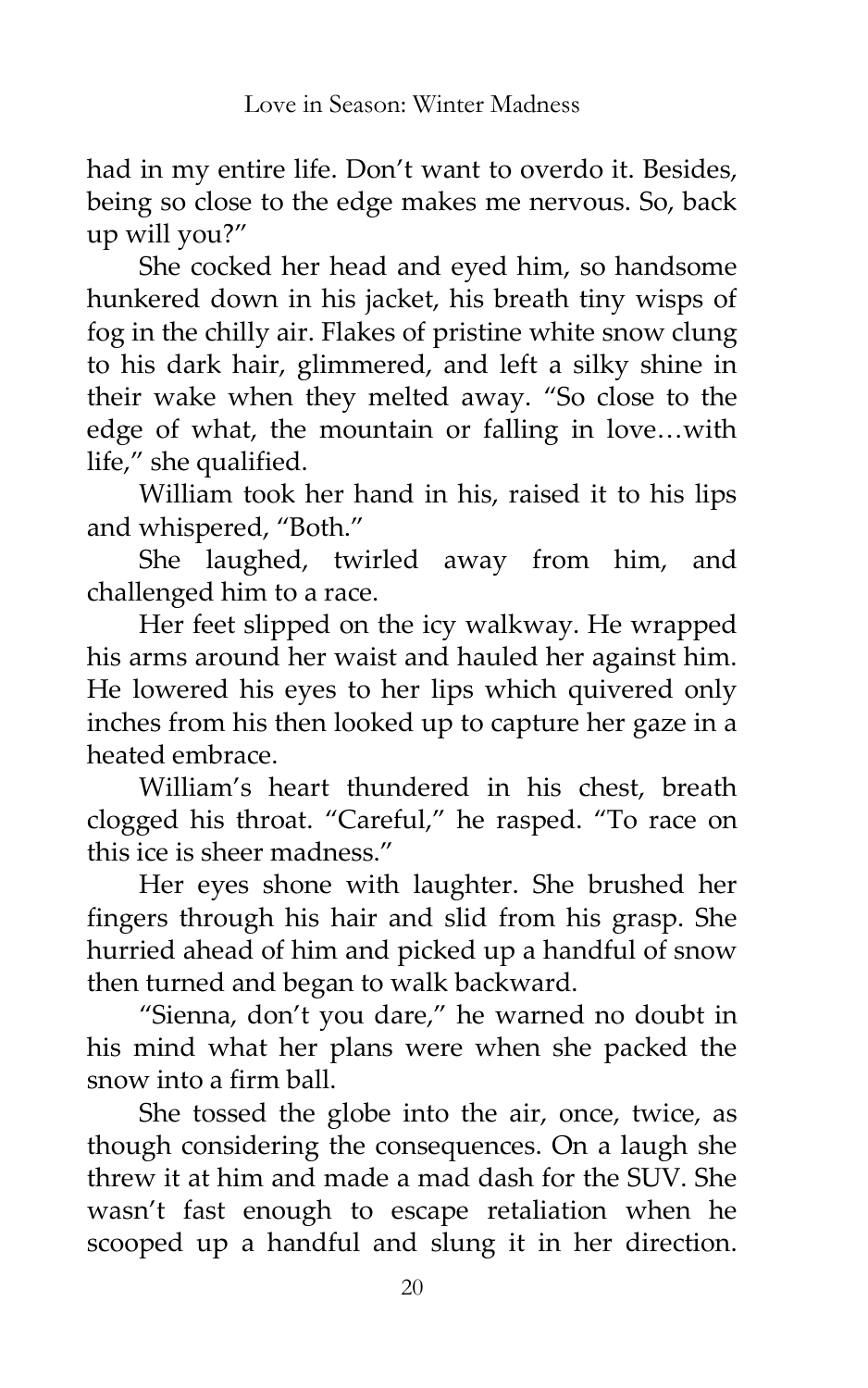had in my entire life. Don't want to overdo it. Besides, being so close to the edge makes me nervous. So, back up will you?'

She cocked her head and eyed him, so handsome hunkered down in his jacket, his breath tiny wisps of fog in the chilly air. Flakes of pristine white snow clung to his dark hair, glimmered, and left a silky shine in their wake when they melted away. 'So close to the edge of what, the mountain or falling in love...with life," she qualified.

William took her hand in his, raised it to his lips and whispered, "Both."

She laughed, twirled away from him, and challenged him to a race.

Her feet slipped on the icy walkway. He wrapped his arms around her waist and hauled her against him. He lowered his eyes to her lips which quivered only inches from his then looked up to capture her gaze in a heated embrace.

William's heart thundered in his chest, breath clogged his throat. 'Careful,' he rasped. 'To race on this ice is sheer madness.'

Her eyes shone with laughter. She brushed her fingers through his hair and slid from his grasp. She hurried ahead of him and picked up a handful of snow then turned and began to walk backward.

'Sienna, don't you dare,' he warned no doubt in his mind what her plans were when she packed the snow into a firm ball.

She tossed the globe into the air, once, twice, as though considering the consequences. On a laugh she threw it at him and made a mad dash for the SUV. She wasn't fast enough to escape retaliation when he scooped up a handful and slung it in her direction.